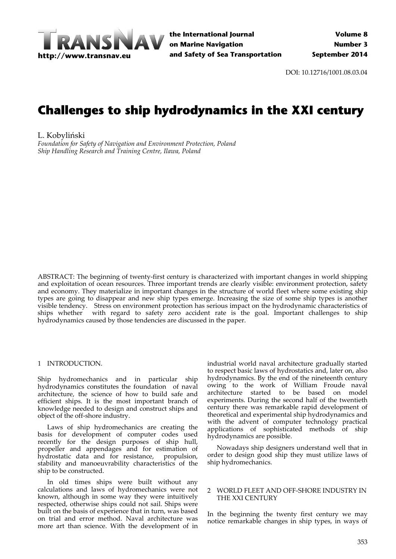

**the International Journal on Marine Navigation and Safety of Sea Transportation**

DOI: 10.12716/1001.08.03.04

# **Challenges to ship hydrodynamics in the XXI century**

L. Kobyliński

*Foundation for Safety of Navigation and Environment Protection, Poland Ship Handling Research and Training Centre, Ilawa, Poland*

ABSTRACT: The beginning of twenty‐first century is characterized with important changes in world shipping and exploitation of ocean resources. Three important trends are clearly visible: environment protection, safety and economy. They materialize in important changes in the structure of world fleet where some existing ship types are going to disappear and new ship types emerge. Increasing the size of some ship types is another visible tendency. Stress on environment protection has serious impact on the hydrodynamic characteristics of ships whether with regard to safety zero accident rate is the goal. Important challenges to ship hydrodynamics caused by those tendencies are discussed in the paper.

### 1 INTRODUCTION.

Ship hydromechanics and in particular ship hydrodynamics constitutes the foundation of naval architecture, the science of how to build safe and efficient ships. It is the most important branch of knowledge needed to design and construct ships and object of the off‐shore industry.

Laws of ship hydromechanics are creating the basis for development of computer codes used recently for the design purposes of ship hull, propeller and appendages and for estimation of hydrostatic data and for resistance, propulsion, stability and manoeuvrability characteristics of the ship to be constructed.

In old times ships were built without any calculations and laws of hydromechanics were not known, although in some way they were intuitively respected, otherwise ships could not sail. Ships were built on the basis of experience that in turn, was based on trial and error method. Naval architecture was more art than science. With the development of in

industrial world naval architecture gradually started to respect basic laws of hydrostatics and, later on, also hydrodynamics. By the end of the nineteenth century owing to the work of William Froude naval architecture started to be based on model experiments. During the second half of the twentieth century there was remarkable rapid development of theoretical and experimental ship hydrodynamics and with the advent of computer technology practical applications of sophisticated methods of ship hydrodynamics are possible.

Nowadays ship designers understand well that in order to design good ship they must utilize laws of ship hydromechanics.

### 2 WORLD FLEET AND OFF‐SHORE INDUSTRY IN THE XXI CENTURY

In the beginning the twenty first century we may notice remarkable changes in ship types, in ways of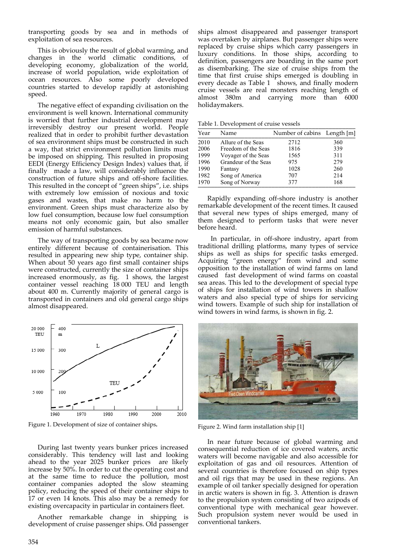transporting goods by sea and in methods of exploitation of sea resources.

This is obviously the result of global warming, and changes in the world climatic conditions, of developing economy, globalization of the world, increase of world population, wide exploitation of ocean resources. Also some poorly developed countries started to develop rapidly at astonishing speed.

The negative effect of expanding civilisation on the environment is well known. International community is worried that further industrial development may irreversibly destroy our present world. People realized that in order to prohibit further devastation of sea environment ships must be constructed in such a way, that strict environment pollution limits must be imposed on shipping. This resulted in proposing EEDI (Energy Efficiency Design Index) values that, if finally made a law, will considerably influence the construction of future ships and off‐shore facilities. This resulted in the concept of "green ships", i.e. ships with extremely low emission of noxious and toxic gases and wastes, that make no harm to the environment. Green ships must characterize also by low fuel consumption, because low fuel consumption means not only economic gain, but also smaller emission of harmful substances.

The way of transporting goods by sea became now entirely different because of containerisation. This resulted in appearing new ship type, container ship. When about 50 years ago first small container ships were constructed, currently the size of container ships increased enormously, as fig. 1 shows, the largest container vessel reaching 18 000 TEU and length about 400 m. Currently majority of general cargo is transported in containers and old general cargo ships almost disappeared.



Figure 1. Development of size of container ships**.**

During last twenty years bunker prices increased considerably. This tendency will last and looking ahead to the year 2025 bunker prices are likely increase by 50%. In order to cut the operating cost and at the same time to reduce the pollution, most container companies adopted the slow steaming policy, reducing the speed of their container ships to 17 or even 14 knots. This also may be a remedy for existing overcapacity in particular in containers fleet.

Another remarkable change in shipping is development of cruise passenger ships. Old passenger

ships almost disappeared and passenger transport was overtaken by airplanes. But passenger ships were replaced by cruise ships which carry passengers in luxury conditions. In those ships, according to definition, passengers are boarding in the same port as disembarking. The size of cruise ships from the time that first cruise ships emerged is doubling in every decade as Table 1 shows, and finally modern cruise vessels are real monsters reaching length of almost 380m and carrying more than 6000 holidaymakers.

Table 1. Development of cruise vessels

| Year | Name                 | Number of cabins Length [m] |     |
|------|----------------------|-----------------------------|-----|
| 2010 | Allure of the Seas   | 2712                        | 360 |
| 2006 | Freedom of the Seas  | 1816                        | 339 |
| 1999 | Voyager of the Seas  | 1565                        | 311 |
| 1996 | Grandeur of the Seas | 975                         | 279 |
| 1990 | Fantasy              | 1028                        | 260 |
| 1982 | Song of America      | 707                         | 214 |
| 1970 | Song of Norway       | 377                         | 168 |

Rapidly expanding off‐shore industry is another remarkable development of the recent times. It caused that several new types of ships emerged, many of them designed to perform tasks that were never before heard.

In particular, in off‐shore industry, apart from traditional drilling platforms, many types of service ships as well as ships for specific tasks emerged. Acquiring "green energy" from wind and some opposition to the installation of wind farms on land caused fast development of wind farms on coastal sea areas. This led to the development of special type of ships for installation of wind towers in shallow waters and also special type of ships for servicing wind towers. Example of such ship for installation of wind towers in wind farms, is shown in fig. 2.



Figure 2. Wind farm installation ship [1]

In near future because of global warming and consequential reduction of ice covered waters, arctic waters will become navigable and also accessible for exploitation of gas and oil resources. Attention of several countries is therefore focused on ship types and oil rigs that may be used in these regions. An example of oil tanker specially designed for operation in arctic waters is shown in fig. 3. Attention is drawn to the propulsion system consisting of two azipods of conventional type with mechanical gear however. Such propulsion system never would be used in conventional tankers.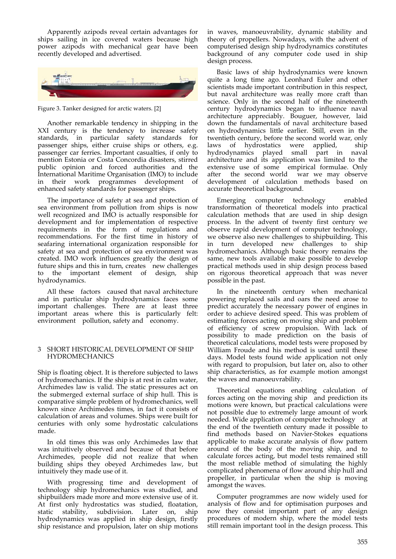Apparently azipods reveal certain advantages for ships sailing in ice covered waters because high power azipods with mechanical gear have been recently developed and advertised.



Figure 3. Tanker designed for arctic waters. [2]

Another remarkable tendency in shipping in the XXI century is the tendency to increase safety standards, in particular safety standards for passenger ships, either cruise ships or others, e.g. passenger car ferries. Important casualties, if only to mention Estonia or Costa Concordia disasters, stirred public opinion and forced authorities and the International Maritime Organisation (IMO) to include in their work programmes development of enhanced safety standards for passenger ships.

The importance of safety at sea and protection of sea environment from pollution from ships is now well recognized and IMO is actually responsible for development and for implementation of respective requirements in the form of regulations and recommendations. For the first time in history of seafaring international organization responsible for safety at sea and protection of sea environment was created. IMO work influences greatly the design of future ships and this in turn, creates new challenges to the important element of design, ship hydrodynamics.

All these factors caused that naval architecture and in particular ship hydrodynamics faces some important challenges. There are at least three important areas where this is particularly felt: environment pollution, safety and economy.

## 3 SHORT HISTORICAL DEVELOPMENT OF SHIP HYDROMECHANICS

Ship is floating object. It is therefore subjected to laws of hydromechanics. If the ship is at rest in calm water, Archimedes law is valid. The static pressures act on the submerged external surface of ship hull. This is comparative simple problem of hydromechanics, well known since Archimedes times, in fact it consists of calculation of areas and volumes. Ships were built for centuries with only some hydrostatic calculations made.

In old times this was only Archimedes law that was intuitively observed and because of that before Archimedes, people did not realize that when building ships they obeyed Archimedes law, but intuitively they made use of it.

With progressing time and development of technology ship hydromechanics was studied, and shipbuilders made more and more extensive use of it. At first only hydrostatics was studied, floatation, static stability, subdivision. Later on, ship hydrodynamics was applied in ship design, firstly ship resistance and propulsion, later on ship motions

in waves, manoeuvrability, dynamic stability and theory of propellers. Nowadays, with the advent of computerised design ship hydrodynamics constitutes background of any computer code used in ship design process.

Basic laws of ship hydrodynamics were known quite a long time ago. Leonhard Euler and other scientists made important contribution in this respect, but naval architecture was really more craft than science. Only in the second half of the nineteenth century hydrodynamics began to influence naval architecture appreciably. Bouguer, however, laid down the fundamentals of naval architecture based on hydrodynamics little earlier. Still, even in the twentieth century, before the second world war, only laws of hydrostatics were applied, ship hydrodynamics played small part in naval architecture and its application was limited to the extensive use of some empirical formulae. Only after the second world war we may observe development of calculation methods based on accurate theoretical background.

Emerging computer technology enabled transformation of theoretical models into practical calculation methods that are used in ship design process. In the advent of twenty first century we observe rapid development of computer technology, we observe also new challenges to shipbuilding. This in turn developed new challenges to ship hydromechanics. Although basic theory remains the same, new tools available make possible to develop practical methods used in ship design process based on rigorous theoretical approach that was never possible in the past.

In the nineteenth century when mechanical powering replaced sails and oars the need arose to predict accurately the necessary power of engines in order to achieve desired speed. This was problem of estimating forces acting on moving ship and problem of efficiency of screw propulsion. With lack of possibility to made prediction on the basis of theoretical calculations, model tests were proposed by William Froude and his method is used until these days. Model tests found wide application not only with regard to propulsion, but later on, also to other ship characteristics, as for example motion amongst the waves and manoeuvrability.

Theoretical equations enabling calculation of forces acting on the moving ship and prediction its motions were known, but practical calculations were not possible due to extremely large amount of work needed. Wide application of computer technology at the end of the twentieth century made it possible to find methods based on Navier‐Stokes equations applicable to make accurate analysis of flow pattern around of the body of the moving ship, and to calculate forces acting, but model tests remained still the most reliable method of simulating the highly complicated phenomena of flow around ship hull and propeller, in particular when the ship is moving amongst the waves.

Computer programmes are now widely used for analysis of flow and for optimisation purposes and now they consist important part of any design procedures of modern ship, where the model tests still remain important tool in the design process. This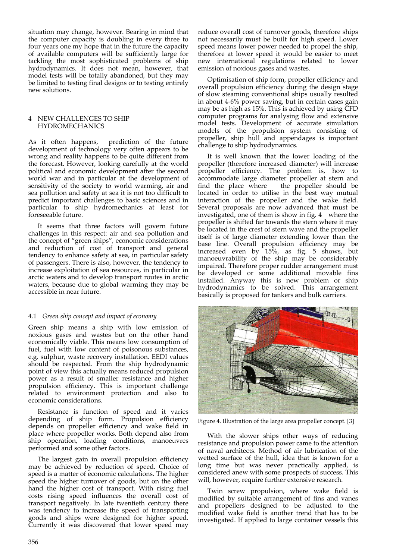situation may change, however. Bearing in mind that the computer capacity is doubling in every three to four years one my hope that in the future the capacity of available computers will be sufficiently large for tackling the most sophisticated problems of ship hydrodynamics. It does not mean, however, that model tests will be totally abandoned, but they may be limited to testing final designs or to testing entirely new solutions.

#### NEW CHALLENGES TO SHIP HYDROMECHANICS

As it often happens, prediction of the future development of technology very often appears to be wrong and reality happens to be quite different from the forecast. However, looking carefully at the world political and economic development after the second world war and in particular at the development of sensitivity of the society to world warming, air and sea pollution and safety at sea it is not too difficult to predict important challenges to basic sciences and in particular to ship hydromechanics at least for foreseeable future.

It seems that three factors will govern future challenges in this respect: air and sea pollution and the concept of "green ships", economic considerations and reduction of cost of transport and general tendency to enhance safety at sea, in particular safety of passengers. There is also, however, the tendency to increase exploitation of sea resources, in particular in arctic waters and to develop transport routes in arctic waters, because due to global warming they may be accessible in near future.

# 4.1 *Green ship concept and impact of economy*

Green ship means a ship with low emission of noxious gases and wastes but on the other hand economically viable. This means low consumption of fuel, fuel with low content of poisonous substances, e.g. sulphur, waste recovery installation. EEDI values should be respected. From the ship hydrodynamic point of view this actually means reduced propulsion power as a result of smaller resistance and higher propulsion efficiency. This is important challenge related to environment protection and also to economic considerations.

Resistance is function of speed and it varies depending of ship form. Propulsion efficiency depends on propeller efficiency and wake field in place where propeller works. Both depend also from ship operation, loading conditions, manoeuvres performed and some other factors.

The largest gain in overall propulsion efficiency may be achieved by reduction of speed. Choice of speed is a matter of economic calculations. The higher speed the higher turnover of goods, but on the other hand the higher cost of transport. With rising fuel costs rising speed influences the overall cost of transport negatively. In late twentieth century there was tendency to increase the speed of transporting goods and ships were designed for higher speed. Currently it was discovered that lower speed may

reduce overall cost of turnover goods, therefore ships not necessarily must be built for high speed. Lower speed means lower power needed to propel the ship, therefore at lower speed it would be easier to meet new international regulations related to lower emission of noxious gases and wastes.

Optimisation of ship form, propeller efficiency and overall propulsion efficiency during the design stage of slow steaming conventional ships usually resulted in about 4‐6% power saving, but in certain cases gain may be as high as 15%. This is achieved by using CFD computer programs for analysing flow and extensive model tests. Development of accurate simulation models of the propulsion system consisting of propeller, ship hull and appendages is important challenge to ship hydrodynamics.

It is well known that the lower loading of the propeller (therefore increased diameter) will increase propeller efficiency. The problem is, how to accommodate large diameter propeller at stern and find the place where the propeller should be located in order to utilise in the best way mutual interaction of the propeller and the wake field. Several proposals are now advanced that must be investigated, one of them is show in fig. 4 where the propeller is shifted far towards the stern where it may be located in the crest of stern wave and the propeller itself is of large diameter extending lower than the base line. Overall propulsion efficiency may be increased even by 15%, as fig. 5 shows, but manoeuvrability of the ship may be considerably impaired. Therefore proper rudder arrangement must be developed or some additional movable fins installed. Anyway this is new problem or ship hydrodynamics to be solved. This arrangement basically is proposed for tankers and bulk carriers.



Figure 4. Illustration of the large area propeller concept. [3]

With the slower ships other ways of reducing resistance and propulsion power came to the attention of naval architects. Method of air lubrication of the wetted surface of the hull, idea that is known for a long time but was never practically applied, is considered anew with some prospects of success. This will, however, require further extensive research.

Twin screw propulsion, where wake field is modified by suitable arrangement of fins and vanes and propellers designed to be adjusted to the modified wake field is another trend that has to be investigated. If applied to large container vessels this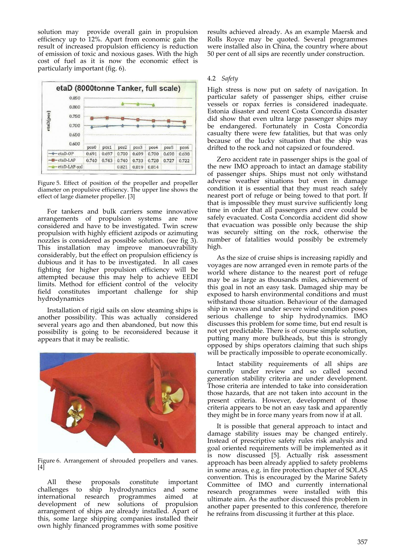solution may provide overall gain in propulsion efficiency up to 12%. Apart from economic gain the result of increased propulsion efficiency is reduction of emission of toxic and noxious gases. With the high cost of fuel as it is now the economic effect is particularly important (fig. 6).





For tankers and bulk carriers some innovative arrangements of propulsion systems are now considered and have to be investigated. Twin screw propulsion with highly efficient azipods or azimuting nozzles is considered as possible solution. (see fig 3). This installation may improve manoeuvrability considerably, but the effect on propulsion efficiency is dubious and it has to be investigated. In all cases fighting for higher propulsion efficiency will be attempted because this may help to achieve EEDI limits. Method for efficient control of the velocity field constitutes important challenge for ship hydrodynamics

Installation of rigid sails on slow steaming ships is another possibility. This was actually considered several years ago and then abandoned, but now this possibility is going to be reconsidered because it appears that it may be realistic.



Figure 6. Arrangement of shrouded propellers and vanes. [4]

All these proposals constitute important challenges to ship hydrodynamics and some international research programmes aimed at development of new solutions of propulsion arrangement of ships are already installed. Apart of this, some large shipping companies installed their own highly financed programmes with some positive

results achieved already. As an example Maersk and Rolls Royce may be quoted. Several programmes were installed also in China, the country where about 50 per cent of all sips are recently under construction.

# 4.2 *Safety*

High stress is now put on safety of navigation. In particular safety of passenger ships, either cruise vessels or ropax ferries is considered inadequate. Estonia disaster and recent Costa Concordia disaster did show that even ultra large passenger ships may be endangered. Fortunately in Costa Concordia casualty there were few fatalities, but that was only because of the lucky situation that the ship was drifted to the rock and not capsized or foundered.

Zero accident rate in passenger ships is the goal of the new IMO approach to intact an damage stability of passenger ships. Ships must not only withstand adverse weather situations but even in damage condition it is essential that they must reach safely nearest port of refuge or being towed to that port. If that is impossible they must survive sufficiently long time in order that all passengers and crew could be safely evacuated. Costa Concordia accident did show that evacuation was possible only because the ship was securely sitting on the rock, otherwise the number of fatalities would possibly be extremely high.

As the size of cruise ships is increasing rapidly and voyages are now arranged even in remote parts of the world where distance to the nearest port of refuge may be as large as thousands miles, achievement of this goal in not an easy task. Damaged ship may be exposed to harsh environmental conditions and must withstand those situation. Behaviour of the damaged ship in waves and under severe wind condition poses serious challenge to ship hydrodynamics. IMO discusses this problem for some time, but end result is not yet predictable. There is of course simple solution, putting many more bulkheads, but this is strongly opposed by ships operators claiming that such ships will be practically impossible to operate economically.

Intact stability requirements of all ships are currently under review and so called second generation stability criteria are under development. Those criteria are intended to take into consideration those hazards, that are not taken into account in the present criteria. However, development of those criteria appears to be not an easy task and apparently they might be in force many years from now if at all.

It is possible that general approach to intact and damage stability issues may be changed entirely. Instead of prescriptive safety rules risk analysis and goal oriented requirements will be implemented as it is now discussed [5]. Actually risk assessment approach has been already applied to safety problems in some areas, e.g. in fire protection chapter of SOLAS convention. This is encouraged by the Marine Safety Committee of IMO and currently international research programmes were installed with this ultimate aim. As the author discussed this problem in another paper presented to this conference, therefore he refrains from discussing it further at this place.